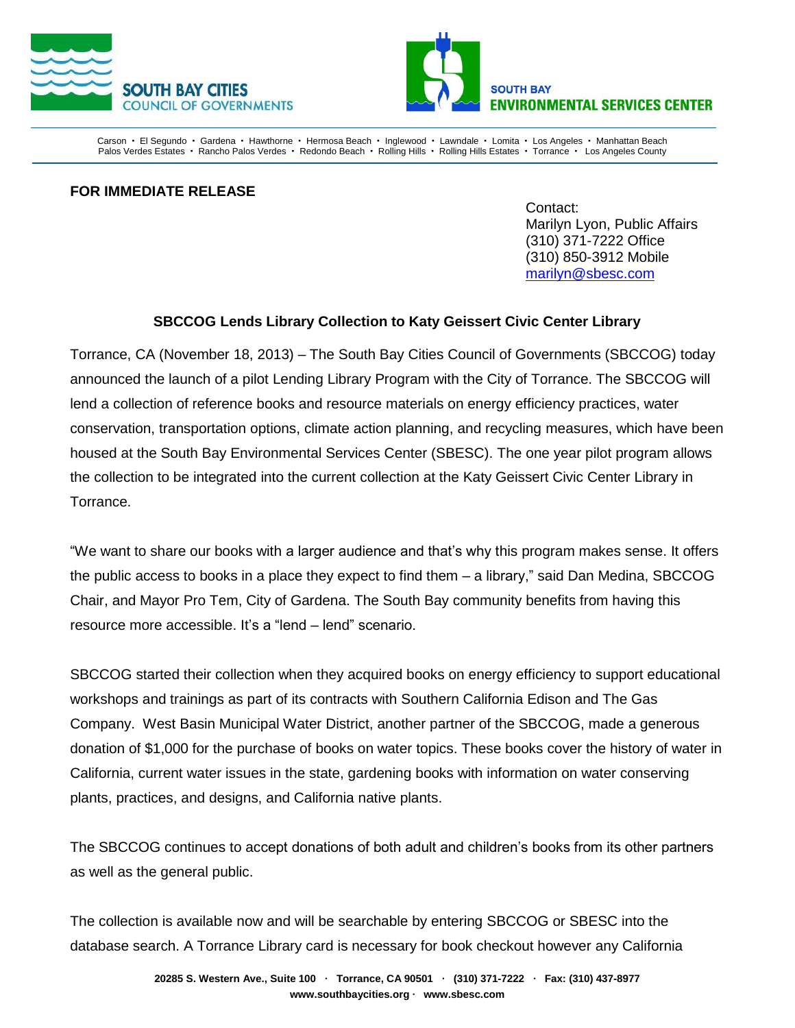



Carson · El Segundo · Gardena · Hawthorne · Hermosa Beach · Inglewood · Lawndale · Lomita · Los Angeles · Manhattan Beach Palos Verdes Estates · Rancho Palos Verdes · Redondo Beach · Rolling Hills · Rolling Hills Estates · Torrance · Los Angeles County

## **FOR IMMEDIATE RELEASE**

Contact: Marilyn Lyon, Public Affairs (310) 371-7222 Office (310) 850-3912 Mobile [marilyn@sbesc.com](mailto:marilyn@sbesc.com)

## **SBCCOG Lends Library Collection to Katy Geissert Civic Center Library**

Torrance, CA (November 18, 2013) – The South Bay Cities Council of Governments (SBCCOG) today announced the launch of a pilot Lending Library Program with the City of Torrance. The SBCCOG will lend a collection of reference books and resource materials on energy efficiency practices, water conservation, transportation options, climate action planning, and recycling measures, which have been housed at the South Bay Environmental Services Center (SBESC). The one year pilot program allows the collection to be integrated into the current collection at the Katy Geissert Civic Center Library in Torrance.

"We want to share our books with a larger audience and that's why this program makes sense. It offers the public access to books in a place they expect to find them – a library," said Dan Medina, SBCCOG Chair, and Mayor Pro Tem, City of Gardena. The South Bay community benefits from having this resource more accessible. It's a "lend – lend" scenario.

SBCCOG started their collection when they acquired books on energy efficiency to support educational workshops and trainings as part of its contracts with Southern California Edison and The Gas Company. West Basin Municipal Water District, another partner of the SBCCOG, made a generous donation of \$1,000 for the purchase of books on water topics. These books cover the history of water in California, current water issues in the state, gardening books with information on water conserving plants, practices, and designs, and California native plants.

The SBCCOG continues to accept donations of both adult and children's books from its other partners as well as the general public.

The collection is available now and will be searchable by entering SBCCOG or SBESC into the database search. A Torrance Library card is necessary for book checkout however any California